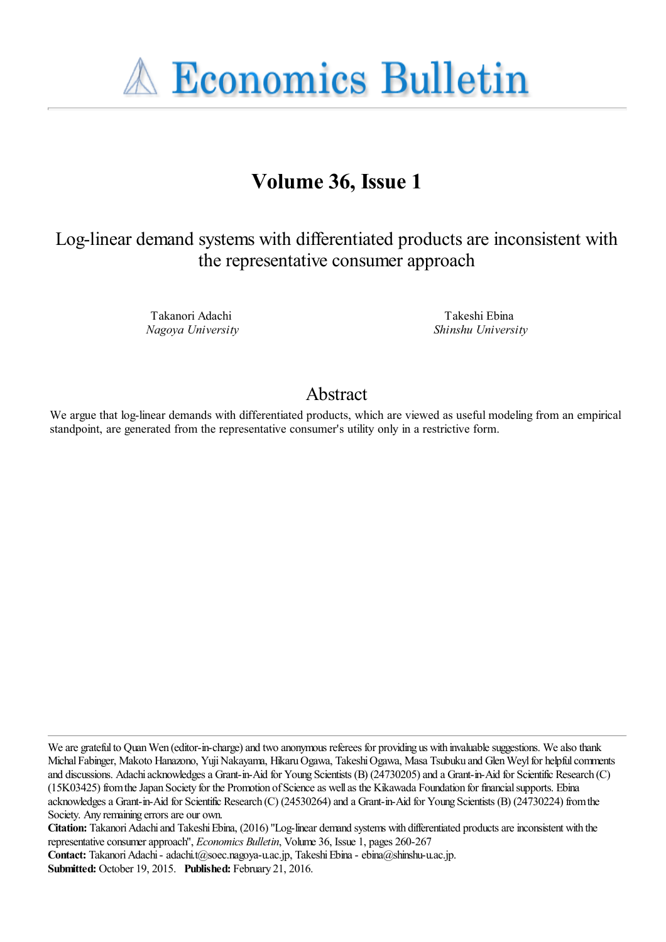

# **Volume 36, Issue 1**

## Log-linear demand systems with differentiated products are inconsistent with the representative consumer approach

Takanori Adachi *Nagoya University*

Takeshi Ebina *Shinshu University*

### Abstract

We argue that log-linear demands with differentiated products, which are viewed as useful modeling from an empirical standpoint, are generated from the representative consumer's utility only in a restrictive form.

We are grateful to Quan Wen (editor-in-charge) and two anonymous referees for providing us with invaluable suggestions. We also thank Michal Fabinger, Makoto Hanazono, Yuji Nakayama, Hikaru Ogawa, Takeshi Ogawa, Masa Tsubuku and Glen Weyl for helpful comments and discussions. Adachi acknowledges a Grant-in-Aid for Young Scientists (B) (24730205) and a Grant-in-Aid for Scientific Research (C) (15K03425) from the Japan Society for the Promotion of Science as well as the Kikawada Foundation for financial supports. Ebina acknowledges a Grant-in-Aid for Scientific Research (C) (24530264) and a Grant-in-Aid for Young Scientists (B) (24730224) from the Society. Any remaining errors are our own.

**Citation:** Takanori Adachi and Takeshi Ebina, (2016) ''Log-linear demand systems with differentiated products are inconsistent with the representative consumer approach'', *Economics Bulletin*, Volume 36, Issue 1, pages 260-267

Contact: Takanori Adachi - adachi.t@soec.nagoya-u.ac.jp, Takeshi Ebina - ebina@shinshu-u.ac.jp.

**Submitted:** October 19, 2015. **Published:** February 21, 2016.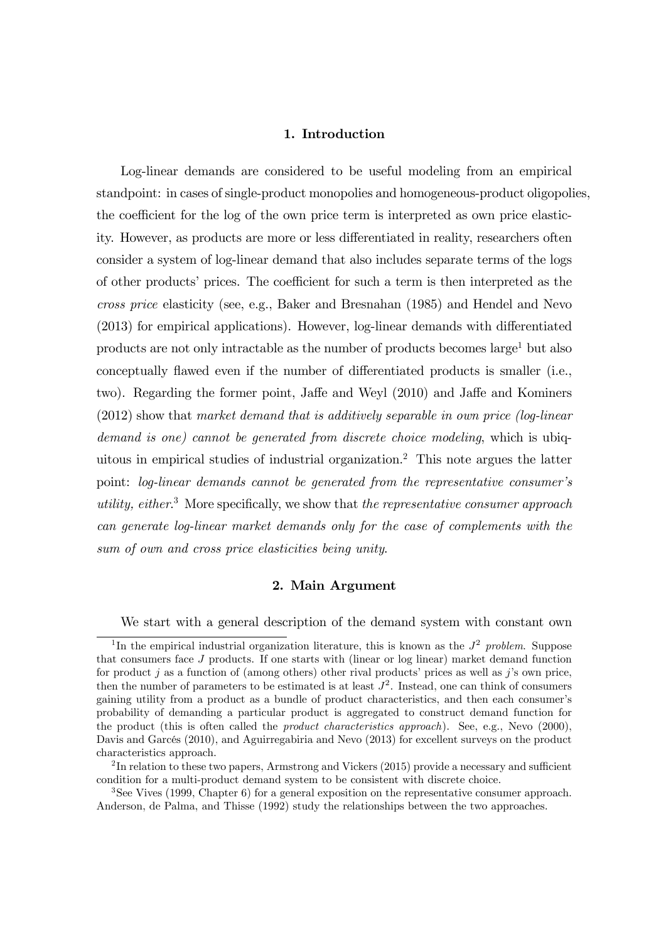#### 1. Introduction

Log-linear demands are considered to be useful modeling from an empirical standpoint: in cases of single-product monopolies and homogeneous-product oligopolies, the coefficient for the log of the own price term is interpreted as own price elasticity. However, as products are more or less differentiated in reality, researchers often consider a system of log-linear demand that also includes separate terms of the logs of other products' prices. The coefficient for such a term is then interpreted as the cross price elasticity (see, e.g., Baker and Bresnahan (1985) and Hendel and Nevo  $(2013)$  for empirical applications). However, log-linear demands with differentiated products are not only intractable as the number of products becomes  $\text{large}^1$  but also conceptually flawed even if the number of differentiated products is smaller (i.e., two). Regarding the former point, Jaffe and Weyl (2010) and Jaffe and Kominers (2012) show that market demand that is additively separable in own price (log-linear demand is one) cannot be generated from discrete choice modeling, which is ubiquitous in empirical studies of industrial organization.<sup>2</sup> This note argues the latter point: log-linear demands cannot be generated from the representative consumer's utility, either.<sup>3</sup> More specifically, we show that the representative consumer approach can generate log-linear market demands only for the case of complements with the sum of own and cross price elasticities being unity.

#### 2. Main Argument

We start with a general description of the demand system with constant own

<sup>&</sup>lt;sup>1</sup>In the empirical industrial organization literature, this is known as the  $J^2$  problem. Suppose that consumers face J products. If one starts with (linear or log linear) market demand function for product j as a function of (among others) other rival products' prices as well as j's own price, then the number of parameters to be estimated is at least  $J^2$ . Instead, one can think of consumers gaining utility from a product as a bundle of product characteristics, and then each consumer's probability of demanding a particular product is aggregated to construct demand function for the product (this is often called the product characteristics approach). See, e.g., Nevo (2000), Davis and Garcés (2010), and Aguirregabiria and Nevo (2013) for excellent surveys on the product characteristics approach.

 $^{2}$ In relation to these two papers, Armstrong and Vickers (2015) provide a necessary and sufficient condition for a multi-product demand system to be consistent with discrete choice.

<sup>3</sup>See Vives (1999, Chapter 6) for a general exposition on the representative consumer approach. Anderson, de Palma, and Thisse (1992) study the relationships between the two approaches.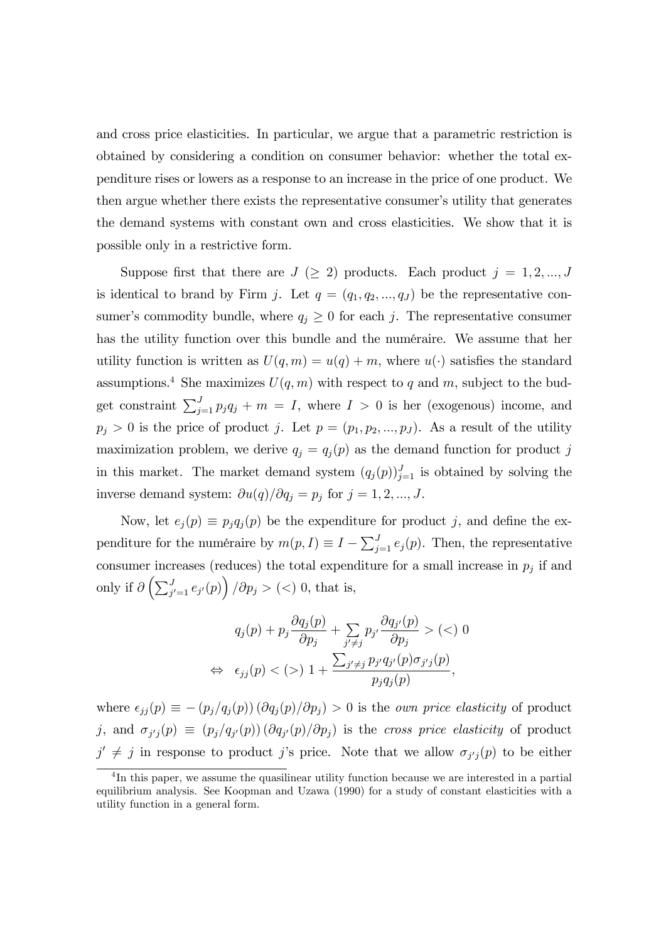and cross price elasticities. In particular, we argue that a parametric restriction is obtained by considering a condition on consumer behavior: whether the total expenditure rises or lowers as a response to an increase in the price of one product. We then argue whether there exists the representative consumer's utility that generates the demand systems with constant own and cross elasticities. We show that it is possible only in a restrictive form.

Suppose first that there are  $J \geq 2$  products. Each product  $j = 1, 2, ..., J$ is identical to brand by Firm j. Let  $q = (q_1, q_2, ..., q_J)$  be the representative consumer's commodity bundle, where  $q_j \geq 0$  for each j. The representative consumer has the utility function over this bundle and the numéraire. We assume that her utility function is written as  $U(q, m) = u(q) + m$ , where  $u(\cdot)$  satisfies the standard assumptions.<sup>4</sup> She maximizes  $U(q, m)$  with respect to q and m, subject to the budget constraint  $\sum_{j=1}^{J} p_j q_j + m = I$ , where  $I > 0$  is her (exogenous) income, and  $p_j > 0$  is the price of product j. Let  $p = (p_1, p_2, ..., p_J)$ . As a result of the utility maximization problem, we derive  $q_j = q_j(p)$  as the demand function for product j in this market. The market demand system  $(q_j(p))_{j=1}^J$  is obtained by solving the inverse demand system:  $\partial u(q)/\partial q_j = p_j$  for  $j = 1, 2, ..., J$ .

Now, let  $e_j(p) \equiv p_j q_j(p)$  be the expenditure for product j, and define the expenditure for the numéraire by  $m(p, I) \equiv I - \sum_{j=1}^{J} e_j(p)$ . Then, the representative consumer increases (reduces) the total expenditure for a small increase in  $p_j$  if and only if  $\partial \left( \sum_{j'=1}^J e_{j'}(p) \right) / \partial p_j > (<) 0$ , that is,

$$
q_j(p) + p_j \frac{\partial q_j(p)}{\partial p_j} + \sum_{j' \neq j} p_{j'} \frac{\partial q_{j'}(p)}{\partial p_j} > (<) 0
$$
\n
$$
\Leftrightarrow \epsilon_{jj}(p) < (>) 1 + \frac{\sum_{j' \neq j} p_{j'} q_{j'}(p) \sigma_{j'j}(p)}{p_j q_j(p)},
$$

where  $\epsilon_{jj} (p) \equiv -(p_j/q_j (p)) (\partial q_j (p)/\partial p_j) > 0$  is the *own price elasticity* of product j, and  $\sigma_{j'j}(p) \equiv (p_j/q_{j'}(p)) (\partial q_{j'}(p)/\partial p_j)$  is the cross price elasticity of product  $j' \neq j$  in response to product j's price. Note that we allow  $\sigma_{j'j}(p)$  to be either

<sup>&</sup>lt;sup>4</sup>In this paper, we assume the quasilinear utility function because we are interested in a partial equilibrium analysis. See Koopman and Uzawa (1990) for a study of constant elasticities with a utility function in a general form.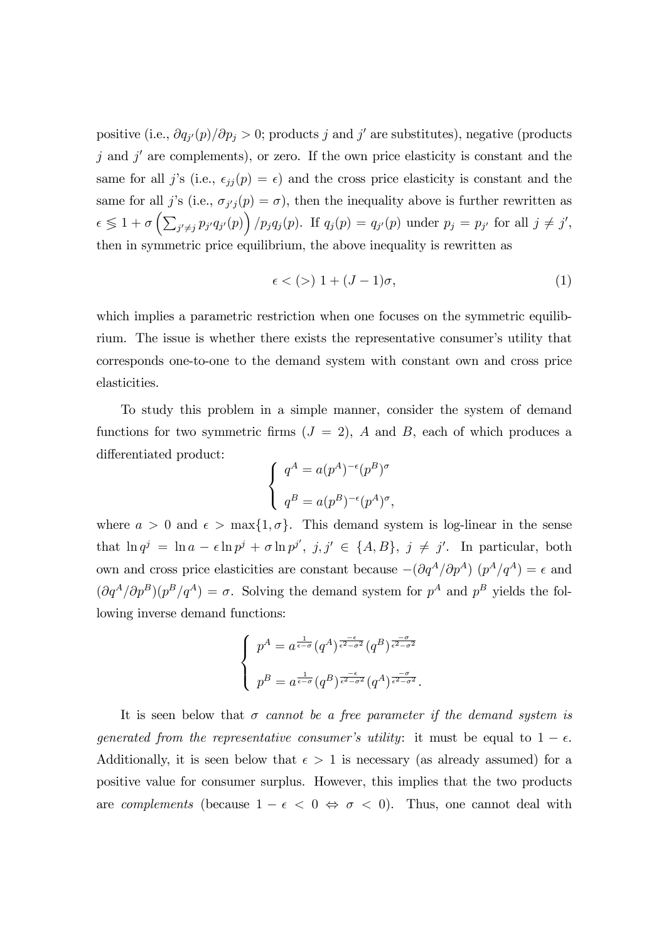positive (i.e.,  $\partial q_{j'}(p)/\partial p_j > 0$ ; products j and j' are substitutes), negative (products  $j$  and  $j'$  are complements), or zero. If the own price elasticity is constant and the same for all j's (i.e.,  $\epsilon_{jj} (p) = \epsilon$ ) and the cross price elasticity is constant and the same for all j's (i.e.,  $\sigma_{j'j}(p) = \sigma$ ), then the inequality above is further rewritten as  $\epsilon \leq 1 + \sigma \left( \sum_{j' \neq j} p_{j'} q_{j'}(p) \right) / p_j q_j(p)$ . If  $q_j(p) = q_{j'}(p)$  under  $p_j = p_{j'}$  for all  $j \neq j'$ , then in symmetric price equilibrium, the above inequality is rewritten as

$$
\epsilon \lt (>) 1 + (J - 1)\sigma,
$$
\n<sup>(1)</sup>

which implies a parametric restriction when one focuses on the symmetric equilibrium. The issue is whether there exists the representative consumer's utility that corresponds one-to-one to the demand system with constant own and cross price elasticities.

To study this problem in a simple manner, consider the system of demand functions for two symmetric firms  $(J = 2)$ , A and B, each of which produces a differentiated product:

$$
\begin{cases}\n q^A = a(p^A)^{-\epsilon}(p^B)^{\sigma} \\
q^B = a(p^B)^{-\epsilon}(p^A)^{\sigma},\n\end{cases}
$$

where  $a > 0$  and  $\epsilon > \max\{1, \sigma\}$ . This demand system is log-linear in the sense that  $\ln q^j = \ln a - \epsilon \ln p^j + \sigma \ln p^{j'}$ ,  $j, j' \in \{A, B\}$ ,  $j \neq j'$ . In particular, both own and cross price elasticities are constant because  $-(\partial q^A/\partial p^A) (p^A/q^A) = \epsilon$  and  $(\partial q^A/\partial p^B)(p^B/q^A) = \sigma$ . Solving the demand system for  $p^A$  and  $p^B$  yields the following inverse demand functions:

$$
\begin{cases}\n p^A = a^{\frac{1}{\epsilon-\sigma}} (q^A)^{\frac{-\epsilon}{\epsilon^2-\sigma^2}} (q^B)^{\frac{-\sigma}{\epsilon^2-\sigma^2}} \\
p^B = a^{\frac{1}{\epsilon-\sigma}} (q^B)^{\frac{-\epsilon}{\epsilon^2-\sigma^2}} (q^A)^{\frac{-\sigma}{\epsilon^2-\sigma^2}}.\n\end{cases}
$$

It is seen below that  $\sigma$  cannot be a free parameter if the demand system is generated from the representative consumer's utility: it must be equal to  $1 - \epsilon$ . Additionally, it is seen below that  $\epsilon > 1$  is necessary (as already assumed) for a positive value for consumer surplus. However, this implies that the two products are *complements* (because  $1 - \epsilon < 0 \Leftrightarrow \sigma < 0$ ). Thus, one cannot deal with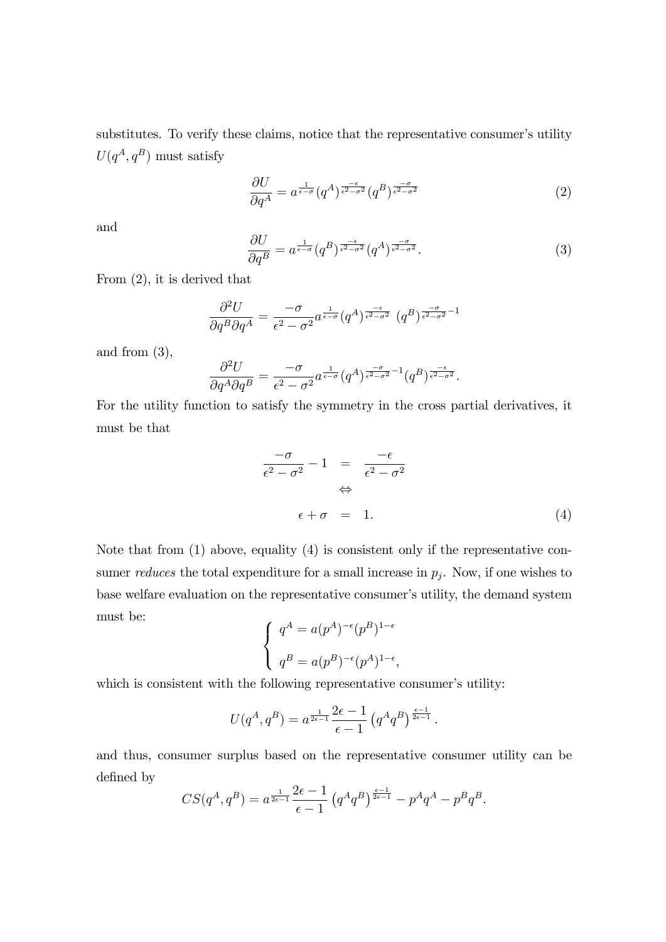substitutes. To verify these claims, notice that the representative consumer's utility  $U(q^A, q^B)$  must satisfy

$$
\frac{\partial U}{\partial q^A} = a^{\frac{1}{\epsilon - \sigma}} (q^A)^{\frac{-\epsilon}{\epsilon^2 - \sigma^2}} (q^B)^{\frac{-\sigma}{\epsilon^2 - \sigma^2}} \tag{2}
$$

and

$$
\frac{\partial U}{\partial q^B} = a^{\frac{1}{\epsilon - \sigma}} (q^B)^{\frac{-\epsilon}{\epsilon^2 - \sigma^2}} (q^A)^{\frac{-\sigma}{\epsilon^2 - \sigma^2}}.
$$
\n(3)

From (2), it is derived that

$$
\frac{\partial^2 U}{\partial q^B \partial q^A} = \frac{-\sigma}{\epsilon^2 - \sigma^2} a^{\frac{1}{\epsilon - \sigma}} (q^A)^{\frac{-\epsilon}{\epsilon^2 - \sigma^2}} (q^B)^{\frac{-\sigma}{\epsilon^2 - \sigma^2} - 1}
$$

and from (3),

$$
\frac{\partial^2 U}{\partial q^A \partial q^B} = \frac{-\sigma}{\epsilon^2 - \sigma^2} a^{\frac{1}{\epsilon - \sigma}} (q^A)^{\frac{-\sigma}{\epsilon^2 - \sigma^2} - 1} (q^B)^{\frac{-\epsilon}{\epsilon^2 - \sigma^2}}.
$$

For the utility function to satisfy the symmetry in the cross partial derivatives, it must be that

$$
\frac{-\sigma}{\epsilon^2 - \sigma^2} - 1 = \frac{-\epsilon}{\epsilon^2 - \sigma^2} \Leftrightarrow
$$
  
\n
$$
\Leftrightarrow \epsilon + \sigma = 1.
$$
 (4)

Note that from (1) above, equality (4) is consistent only if the representative consumer *reduces* the total expenditure for a small increase in  $p_j$ . Now, if one wishes to base welfare evaluation on the representative consumer's utility, the demand system must be:

$$
\begin{cases}\n q^A = a(p^A)^{-\epsilon}(p^B)^{1-\epsilon} \\
q^B = a(p^B)^{-\epsilon}(p^A)^{1-\epsilon},\n\end{cases}
$$

which is consistent with the following representative consumer's utility:

$$
U(q^A, q^B) = a^{\frac{1}{2\epsilon - 1}} \frac{2\epsilon - 1}{\epsilon - 1} (q^A q^B)^{\frac{\epsilon - 1}{2\epsilon - 1}}.
$$

and thus, consumer surplus based on the representative consumer utility can be defined by

$$
CS(q^A, q^B) = a^{\frac{1}{2\epsilon - 1}} \frac{2\epsilon - 1}{\epsilon - 1} (q^A q^B)^{\frac{\epsilon - 1}{2\epsilon - 1}} - p^A q^A - p^B q^B.
$$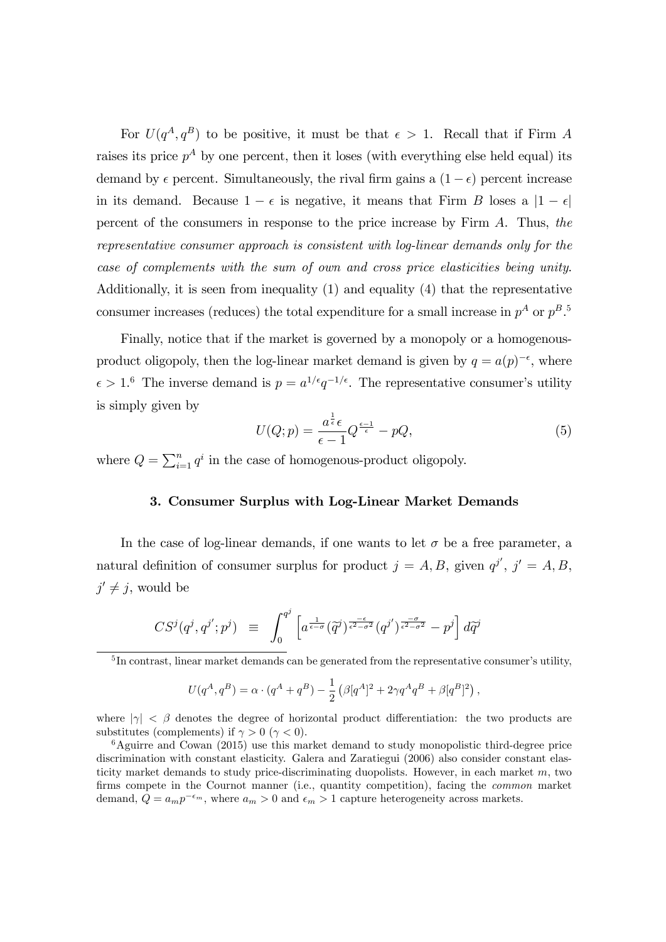For  $U(q^A, q^B)$  to be positive, it must be that  $\epsilon > 1$ . Recall that if Firm A raises its price  $p^A$  by one percent, then it loses (with everything else held equal) its demand by  $\epsilon$  percent. Simultaneously, the rival firm gains a  $(1 - \epsilon)$  percent increase in its demand. Because  $1 - \epsilon$  is negative, it means that Firm B loses a  $|1 - \epsilon|$ percent of the consumers in response to the price increase by Firm A. Thus, the representative consumer approach is consistent with log-linear demands only for the case of complements with the sum of own and cross price elasticities being unity. Additionally, it is seen from inequality (1) and equality (4) that the representative consumer increases (reduces) the total expenditure for a small increase in  $p^A$  or  $p^B$ .<sup>5</sup>

Finally, notice that if the market is governed by a monopoly or a homogenousproduct oligopoly, then the log-linear market demand is given by  $q = a(p)^{-\epsilon}$ , where  $\epsilon > 1$ .<sup>6</sup> The inverse demand is  $p = a^{1/\epsilon} q^{-1/\epsilon}$ . The representative consumer's utility is simply given by

$$
U(Q; p) = \frac{a^{\frac{1}{\epsilon}} \epsilon}{\epsilon - 1} Q^{\frac{\epsilon - 1}{\epsilon}} - pQ,\tag{5}
$$

where  $Q = \sum_{i=1}^{n} q^i$  in the case of homogenous-product oligopoly.

#### 3. Consumer Surplus with Log-Linear Market Demands

In the case of log-linear demands, if one wants to let  $\sigma$  be a free parameter, a natural definition of consumer surplus for product  $j = A, B$ , given  $q^{j'}$ ,  $j' = A, B$ ,  $j' \neq j$ , would be

$$
CS^j(q^j, q^{j'}; p^j) \equiv \int_0^{q^j} \left[ a^{\frac{1}{\epsilon - \sigma}} (\tilde{q}^j)^{\frac{-\epsilon}{\epsilon^2 - \sigma^2}} (q^{j'})^{\frac{-\sigma}{\epsilon^2 - \sigma^2}} - p^j \right] d\tilde{q}^j
$$

$$
U(q^A, q^B) = \alpha \cdot (q^A + q^B) - \frac{1}{2} (\beta[q^A]^2 + 2\gamma q^A q^B + \beta[q^B]^2),
$$

where  $|\gamma| \leq \beta$  denotes the degree of horizontal product differentiation: the two products are substitutes (complements) if  $\gamma > 0$  ( $\gamma < 0$ ).

 $6$ Aguirre and Cowan (2015) use this market demand to study monopolistic third-degree price discrimination with constant elasticity. Galera and Zaratiegui (2006) also consider constant elasticity market demands to study price-discriminating duopolists. However, in each market  $m$ , two firms compete in the Cournot manner (i.e., quantity competition), facing the *common* market demand,  $Q = a_m p^{-\epsilon_m}$ , where  $a_m > 0$  and  $\epsilon_m > 1$  capture heterogeneity across markets.

 ${}^{5}$ In contrast, linear market demands can be generated from the representative consumer's utility,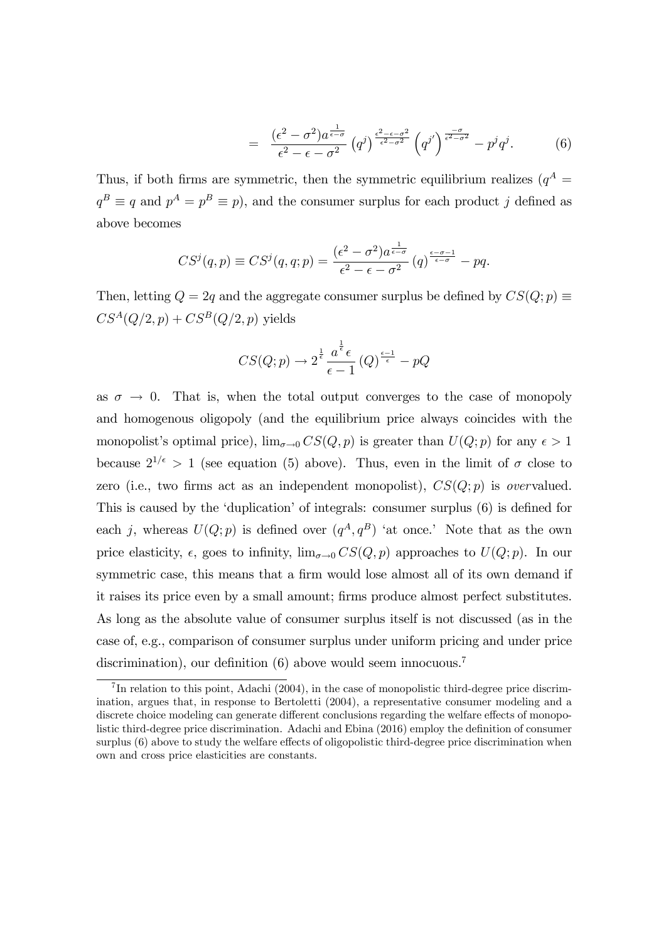$$
= \frac{(\epsilon^2 - \sigma^2)a^{\frac{1}{\epsilon - \sigma}}}{\epsilon^2 - \epsilon - \sigma^2} (q^j)^{\frac{\epsilon^2 - \epsilon - \sigma^2}{\epsilon^2 - \sigma^2}} (q^{j'})^{\frac{-\sigma}{\epsilon^2 - \sigma^2}} - p^j q^j. \tag{6}
$$

Thus, if both firms are symmetric, then the symmetric equilibrium realizes ( $q^A$  =  $q^B \equiv q$  and  $p^A = p^B \equiv p$ , and the consumer surplus for each product j defined as above becomes

$$
CS^j(q,p) \equiv CS^j(q,q;p) = \frac{(\epsilon^2 - \sigma^2)a^{\frac{1}{\epsilon - \sigma}}}{\epsilon^2 - \epsilon - \sigma^2} (q)^{\frac{\epsilon - \sigma - 1}{\epsilon - \sigma}} - pq
$$

Then, letting  $Q = 2q$  and the aggregate consumer surplus be defined by  $CS(Q; p) \equiv$  $CS^A(Q/2,p) + CS^B(Q/2,p)$  yields

$$
CS(Q;p) \to 2^{\frac{1}{\epsilon}} \frac{a^{\frac{1}{\epsilon}} \epsilon}{\epsilon - 1} (Q)^{\frac{\epsilon - 1}{\epsilon}} - pQ
$$

as  $\sigma \rightarrow 0$ . That is, when the total output converges to the case of monopoly and homogenous oligopoly (and the equilibrium price always coincides with the monopolist's optimal price),  $\lim_{\sigma\to 0} CS(Q, p)$  is greater than  $U(Q; p)$  for any  $\epsilon > 1$ because  $2^{1/\epsilon} > 1$  (see equation (5) above). Thus, even in the limit of  $\sigma$  close to zero (i.e., two firms act as an independent monopolist),  $CS(Q;p)$  is *overvalued.* This is caused by the 'duplication' of integrals: consumer surplus (6) is defined for each j, whereas  $U(Q; p)$  is defined over  $(q<sup>A</sup>, q<sup>B</sup>)$  'at once.' Note that as the own price elasticity,  $\epsilon$ , goes to infinity,  $\lim_{\sigma \to 0} CS(Q, p)$  approaches to  $U(Q; p)$ . In our symmetric case, this means that a firm would lose almost all of its own demand if it raises its price even by a small amount; firms produce almost perfect substitutes. As long as the absolute value of consumer surplus itself is not discussed (as in the case of, e.g., comparison of consumer surplus under uniform pricing and under price discrimination), our definition (6) above would seem innocuous.<sup>7</sup>

 $7\text{In relation to this point, Adachi}$  (2004), in the case of monopolistic third-degree price discrimination, argues that, in response to Bertoletti (2004), a representative consumer modeling and a discrete choice modeling can generate different conclusions regarding the welfare effects of monopolistic third-degree price discrimination. Adachi and Ebina (2016) employ the definition of consumer surplus  $(6)$  above to study the welfare effects of oligopolistic third-degree price discrimination when own and cross price elasticities are constants.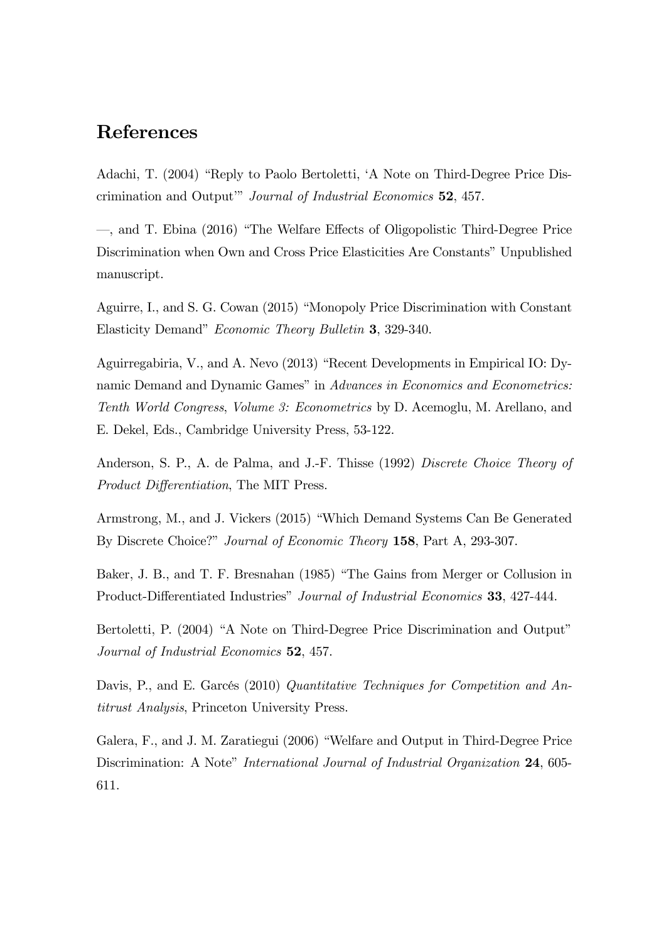## References

Adachi, T. (2004) "Reply to Paolo Bertoletti, 'A Note on Third-Degree Price Discrimination and Output" Journal of Industrial Economics 52, 457.

-, and T. Ebina (2016) "The Welfare Effects of Oligopolistic Third-Degree Price Discrimination when Own and Cross Price Elasticities Are Constants" Unpublished manuscript.

Aguirre, I., and S. G. Cowan (2015) "Monopoly Price Discrimination with Constant Elasticity Demand" *Economic Theory Bulletin* 3, 329-340.

Aguirregabiria, V., and A. Nevo (2013) "Recent Developments in Empirical IO: Dynamic Demand and Dynamic Games" in Advances in Economics and Econometrics: Tenth World Congress, Volume 3: Econometrics by D. Acemoglu, M. Arellano, and E. Dekel, Eds., Cambridge University Press, 53-122.

Anderson, S. P., A. de Palma, and J.-F. Thisse (1992) Discrete Choice Theory of *Product Differentiation*, The MIT Press.

Armstrong, M., and J. Vickers (2015) "Which Demand Systems Can Be Generated By Discrete Choice?" Journal of Economic Theory 158, Part A, 293-307.

Baker, J. B., and T. F. Bresnahan (1985) "The Gains from Merger or Collusion in Product-Differentiated Industries" Journal of Industrial Economics 33, 427-444.

Bertoletti, P. (2004) "A Note on Third-Degree Price Discrimination and Output" Journal of Industrial Economics 52, 457.

Davis, P., and E. Garcés (2010) Quantitative Techniques for Competition and Antitrust Analysis, Princeton University Press.

Galera, F., and J. M. Zaratiegui (2006) "Welfare and Output in Third-Degree Price Discrimination: A Note" International Journal of Industrial Organization 24, 605-611.